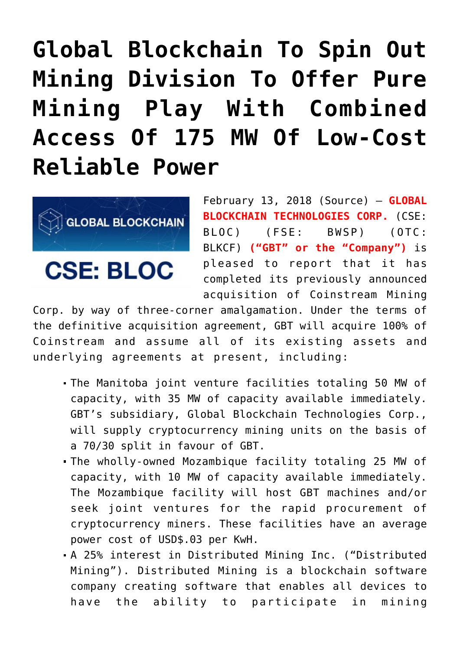## **[Global Blockchain To Spin Out](https://investorintel.com/markets/technology/technology-news/global-blockchain-spin-mining-division-offer-pure-mining-play-combined-access-175-mw-low-cost-reliable-power/) [Mining Division To Offer Pure](https://investorintel.com/markets/technology/technology-news/global-blockchain-spin-mining-division-offer-pure-mining-play-combined-access-175-mw-low-cost-reliable-power/) [Mining Play With Combined](https://investorintel.com/markets/technology/technology-news/global-blockchain-spin-mining-division-offer-pure-mining-play-combined-access-175-mw-low-cost-reliable-power/) [Access Of 175 MW Of Low-Cost](https://investorintel.com/markets/technology/technology-news/global-blockchain-spin-mining-division-offer-pure-mining-play-combined-access-175-mw-low-cost-reliable-power/) [Reliable Power](https://investorintel.com/markets/technology/technology-news/global-blockchain-spin-mining-division-offer-pure-mining-play-combined-access-175-mw-low-cost-reliable-power/)**



**CSE: BLOC** 

February 13, 2018 [\(Source\)](https://investorintel.com/iintel-members/global-blockchain-technologies-corp/) — **GLOBAL BLOCKCHAIN TECHNOLOGIES CORP.** (CSE: BLOC) (FSE: BWSP) (OTC: BLKCF) **("GBT" or the "Company")** is pleased to report that it has completed its previously announced acquisition of Coinstream Mining

Corp. by way of three-corner amalgamation. Under the terms of the definitive acquisition agreement, GBT will acquire 100% of Coinstream and assume all of its existing assets and underlying agreements at present, including:

- The Manitoba joint venture facilities totaling 50 MW of capacity, with 35 MW of capacity available immediately. GBT's subsidiary, Global Blockchain Technologies Corp., will supply cryptocurrency mining units on the basis of a 70/30 split in favour of GBT.
- The wholly-owned Mozambique facility totaling 25 MW of capacity, with 10 MW of capacity available immediately. The Mozambique facility will host GBT machines and/or seek joint ventures for the rapid procurement of cryptocurrency miners. These facilities have an average power cost of USD\$.03 per KwH.
- A 25% interest in Distributed Mining Inc. ("Distributed Mining"). Distributed Mining is a blockchain software company creating software that enables all devices to have the ability to participate in mining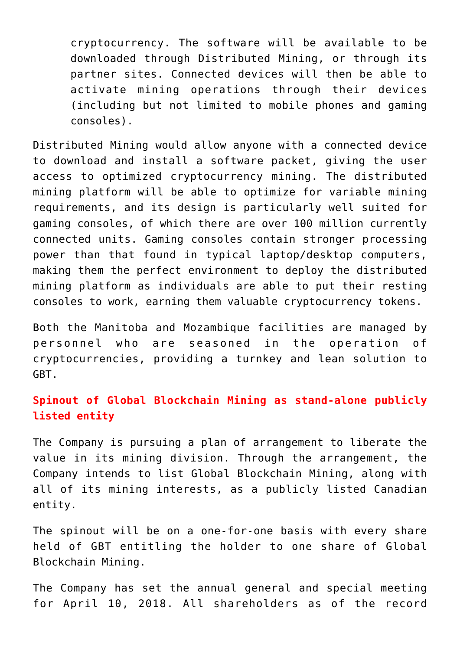cryptocurrency. The software will be available to be downloaded through Distributed Mining, or through its partner sites. Connected devices will then be able to activate mining operations through their devices (including but not limited to mobile phones and gaming consoles).

Distributed Mining would allow anyone with a connected device to download and install a software packet, giving the user access to optimized cryptocurrency mining. The distributed mining platform will be able to optimize for variable mining requirements, and its design is particularly well suited for gaming consoles, of which there are over 100 million currently connected units. Gaming consoles contain stronger processing power than that found in typical laptop/desktop computers, making them the perfect environment to deploy the distributed mining platform as individuals are able to put their resting consoles to work, earning them valuable cryptocurrency tokens.

Both the Manitoba and Mozambique facilities are managed by personnel who are seasoned in the operation of cryptocurrencies, providing a turnkey and lean solution to GBT.

## **Spinout of Global Blockchain Mining as stand-alone publicly listed entity**

The Company is pursuing a plan of arrangement to liberate the value in its mining division. Through the arrangement, the Company intends to list Global Blockchain Mining, along with all of its mining interests, as a publicly listed Canadian entity.

The spinout will be on a one-for-one basis with every share held of GBT entitling the holder to one share of Global Blockchain Mining.

The Company has set the annual general and special meeting for April 10, 2018. All shareholders as of the record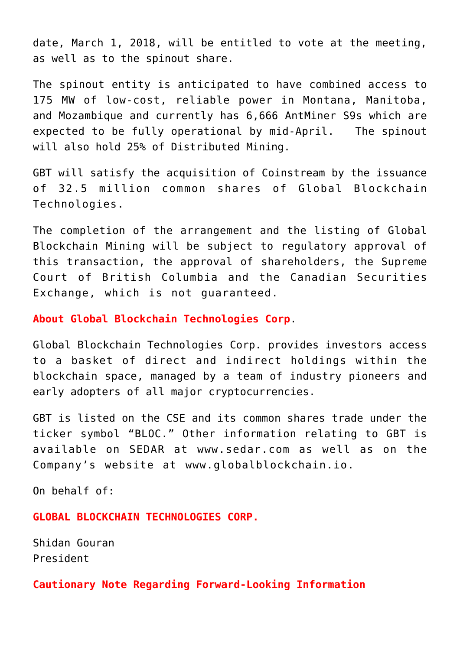date, March 1, 2018, will be entitled to vote at the meeting, as well as to the spinout share.

The spinout entity is anticipated to have combined access to 175 MW of low-cost, reliable power in Montana, Manitoba, and Mozambique and currently has 6,666 AntMiner S9s which are expected to be fully operational by mid-April. The spinout will also hold 25% of Distributed Mining.

GBT will satisfy the acquisition of Coinstream by the issuance of 32.5 million common shares of Global Blockchain Technologies.

The completion of the arrangement and the listing of Global Blockchain Mining will be subject to regulatory approval of this transaction, the approval of shareholders, the Supreme Court of British Columbia and the Canadian Securities Exchange, which is not guaranteed.

## **About Global Blockchain Technologies Corp**.

Global Blockchain Technologies Corp. provides investors access to a basket of direct and indirect holdings within the blockchain space, managed by a team of industry pioneers and early adopters of all major cryptocurrencies.

GBT is listed on the CSE and its common shares trade under the ticker symbol "BLOC." Other information relating to GBT is available on SEDAR at [www.sedar.com](http://www.sedar.com/) as well as on the Company's website at [www.globalblockchain.io](http://www.globalblockchain.io/).

On behalf of:

**GLOBAL BLOCKCHAIN TECHNOLOGIES CORP.**

Shidan Gouran President

**Cautionary Note Regarding Forward-Looking Information**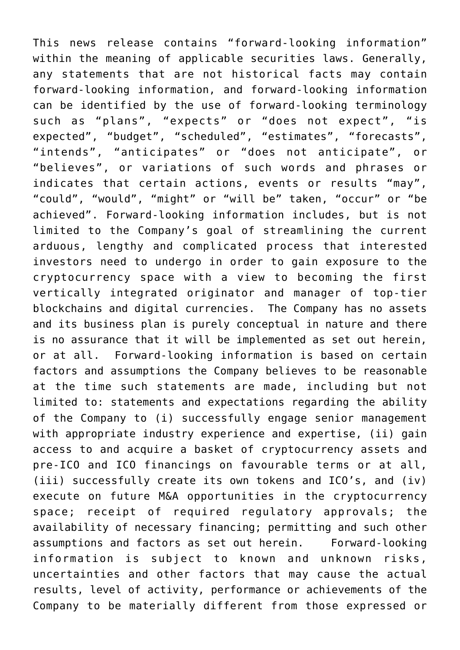This news release contains "forward-looking information" within the meaning of applicable securities laws. Generally, any statements that are not historical facts may contain forward-looking information, and forward-looking information can be identified by the use of forward-looking terminology such as "plans", "expects" or "does not expect", "is expected", "budget", "scheduled", "estimates", "forecasts", "intends", "anticipates" or "does not anticipate", or "believes", or variations of such words and phrases or indicates that certain actions, events or results "may", "could", "would", "might" or "will be" taken, "occur" or "be achieved". Forward-looking information includes, but is not limited to the Company's goal of streamlining the current arduous, lengthy and complicated process that interested investors need to undergo in order to gain exposure to the cryptocurrency space with a view to becoming the first vertically integrated originator and manager of top-tier blockchains and digital currencies. The Company has no assets and its business plan is purely conceptual in nature and there is no assurance that it will be implemented as set out herein, or at all. Forward-looking information is based on certain factors and assumptions the Company believes to be reasonable at the time such statements are made, including but not limited to: statements and expectations regarding the ability of the Company to (i) successfully engage senior management with appropriate industry experience and expertise, (ii) gain access to and acquire a basket of cryptocurrency assets and pre-ICO and ICO financings on favourable terms or at all, (iii) successfully create its own tokens and ICO's, and (iv) execute on future M&A opportunities in the cryptocurrency space; receipt of required regulatory approvals; the availability of necessary financing; permitting and such other assumptions and factors as set out herein. Forward-looking information is subject to known and unknown risks, uncertainties and other factors that may cause the actual results, level of activity, performance or achievements of the Company to be materially different from those expressed or